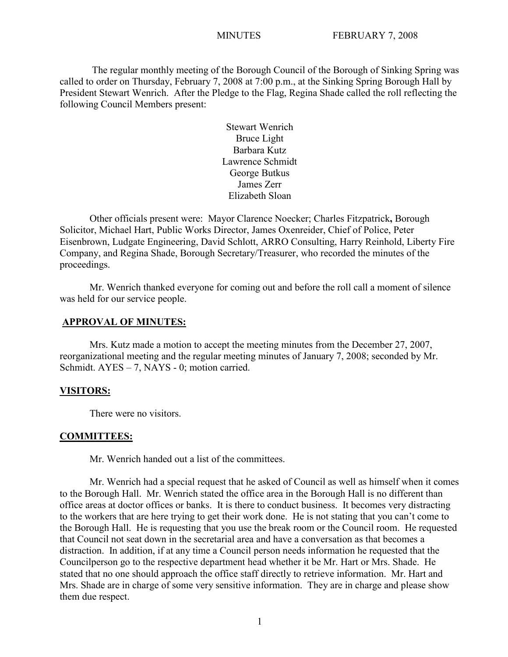The regular monthly meeting of the Borough Council of the Borough of Sinking Spring was called to order on Thursday, February 7, 2008 at 7:00 p.m., at the Sinking Spring Borough Hall by President Stewart Wenrich. After the Pledge to the Flag, Regina Shade called the roll reflecting the following Council Members present:

> Stewart Wenrich Bruce Light Barbara Kutz Lawrence Schmidt George Butkus James Zerr Elizabeth Sloan

Other officials present were: Mayor Clarence Noecker; Charles Fitzpatrick**,** Borough Solicitor, Michael Hart, Public Works Director, James Oxenreider, Chief of Police, Peter Eisenbrown, Ludgate Engineering, David Schlott, ARRO Consulting, Harry Reinhold, Liberty Fire Company, and Regina Shade, Borough Secretary/Treasurer, who recorded the minutes of the proceedings.

Mr. Wenrich thanked everyone for coming out and before the roll call a moment of silence was held for our service people.

#### **APPROVAL OF MINUTES:**

Mrs. Kutz made a motion to accept the meeting minutes from the December 27, 2007, reorganizational meeting and the regular meeting minutes of January 7, 2008; seconded by Mr. Schmidt. AYES – 7, NAYS - 0; motion carried.

#### **VISITORS:**

There were no visitors.

#### **COMMITTEES:**

Mr. Wenrich handed out a list of the committees.

Mr. Wenrich had a special request that he asked of Council as well as himself when it comes to the Borough Hall. Mr. Wenrich stated the office area in the Borough Hall is no different than office areas at doctor offices or banks. It is there to conduct business. It becomes very distracting to the workers that are here trying to get their work done. He is not stating that you can't come to the Borough Hall. He is requesting that you use the break room or the Council room. He requested that Council not seat down in the secretarial area and have a conversation as that becomes a distraction. In addition, if at any time a Council person needs information he requested that the Councilperson go to the respective department head whether it be Mr. Hart or Mrs. Shade. He stated that no one should approach the office staff directly to retrieve information. Mr. Hart and Mrs. Shade are in charge of some very sensitive information. They are in charge and please show them due respect.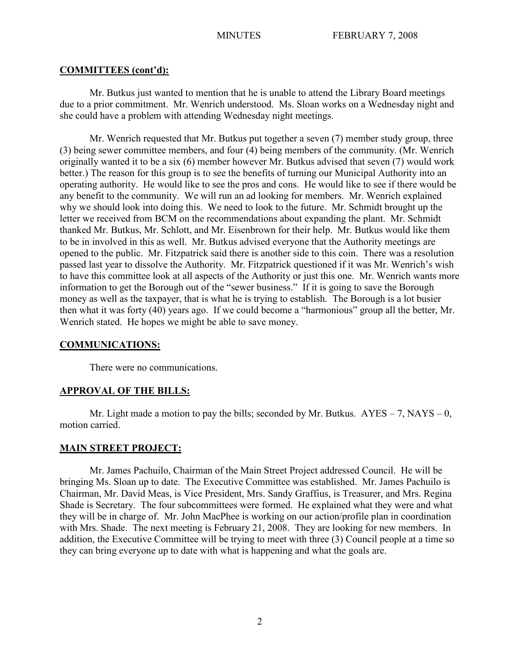#### **COMMITTEES (cont'd):**

Mr. Butkus just wanted to mention that he is unable to attend the Library Board meetings due to a prior commitment. Mr. Wenrich understood. Ms. Sloan works on a Wednesday night and she could have a problem with attending Wednesday night meetings.

Mr. Wenrich requested that Mr. Butkus put together a seven (7) member study group, three (3) being sewer committee members, and four (4) being members of the community. (Mr. Wenrich originally wanted it to be a six (6) member however Mr. Butkus advised that seven (7) would work better.) The reason for this group is to see the benefits of turning our Municipal Authority into an operating authority. He would like to see the pros and cons. He would like to see if there would be any benefit to the community. We will run an ad looking for members. Mr. Wenrich explained why we should look into doing this. We need to look to the future. Mr. Schmidt brought up the letter we received from BCM on the recommendations about expanding the plant. Mr. Schmidt thanked Mr. Butkus, Mr. Schlott, and Mr. Eisenbrown for their help. Mr. Butkus would like them to be in involved in this as well. Mr. Butkus advised everyone that the Authority meetings are opened to the public. Mr. Fitzpatrick said there is another side to this coin. There was a resolution passed last year to dissolve the Authority. Mr. Fitzpatrick questioned if it was Mr. Wenrich's wish to have this committee look at all aspects of the Authority or just this one. Mr. Wenrich wants more information to get the Borough out of the "sewer business." If it is going to save the Borough money as well as the taxpayer, that is what he is trying to establish. The Borough is a lot busier then what it was forty (40) years ago. If we could become a "harmonious" group all the better, Mr. Wenrich stated. He hopes we might be able to save money.

#### **COMMUNICATIONS:**

There were no communications.

# **APPROVAL OF THE BILLS:**

Mr. Light made a motion to pay the bills; seconded by Mr. Butkus.  $AYES - 7$ ,  $NAYS - 0$ , motion carried.

# **MAIN STREET PROJECT:**

Mr. James Pachuilo, Chairman of the Main Street Project addressed Council. He will be bringing Ms. Sloan up to date. The Executive Committee was established. Mr. James Pachuilo is Chairman, Mr. David Meas, is Vice President, Mrs. Sandy Graffius, is Treasurer, and Mrs. Regina Shade is Secretary. The four subcommittees were formed. He explained what they were and what they will be in charge of. Mr. John MacPhee is working on our action/profile plan in coordination with Mrs. Shade. The next meeting is February 21, 2008. They are looking for new members. In addition, the Executive Committee will be trying to meet with three (3) Council people at a time so they can bring everyone up to date with what is happening and what the goals are.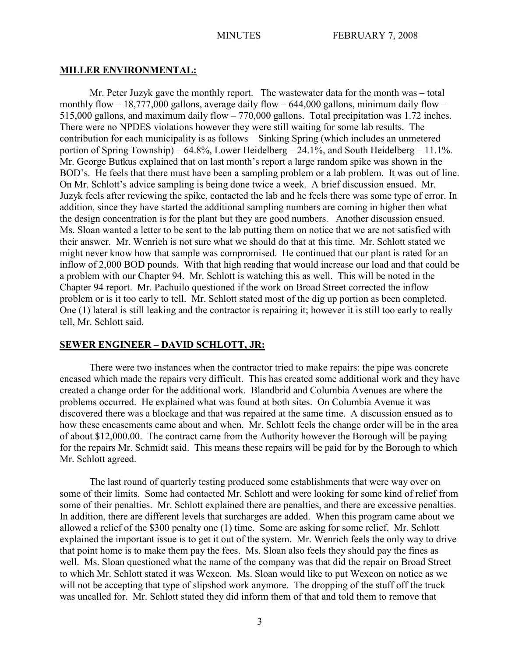#### **MILLER ENVIRONMENTAL:**

Mr. Peter Juzyk gave the monthly report. The wastewater data for the month was – total monthly flow  $-18,777,000$  gallons, average daily flow  $-644,000$  gallons, minimum daily flow  $-$ 515,000 gallons, and maximum daily flow – 770,000 gallons. Total precipitation was 1.72 inches. There were no NPDES violations however they were still waiting for some lab results. The contribution for each municipality is as follows – Sinking Spring (which includes an unmetered portion of Spring Township) – 64.8%, Lower Heidelberg – 24.1%, and South Heidelberg – 11.1%. Mr. George Butkus explained that on last month's report a large random spike was shown in the BOD's. He feels that there must have been a sampling problem or a lab problem. It was out of line. On Mr. Schlott's advice sampling is being done twice a week. A brief discussion ensued. Mr. Juzyk feels after reviewing the spike, contacted the lab and he feels there was some type of error. In addition, since they have started the additional sampling numbers are coming in higher then what the design concentration is for the plant but they are good numbers. Another discussion ensued. Ms. Sloan wanted a letter to be sent to the lab putting them on notice that we are not satisfied with their answer. Mr. Wenrich is not sure what we should do that at this time. Mr. Schlott stated we might never know how that sample was compromised. He continued that our plant is rated for an inflow of 2,000 BOD pounds. With that high reading that would increase our load and that could be a problem with our Chapter 94. Mr. Schlott is watching this as well. This will be noted in the Chapter 94 report. Mr. Pachuilo questioned if the work on Broad Street corrected the inflow problem or is it too early to tell. Mr. Schlott stated most of the dig up portion as been completed. One (1) lateral is still leaking and the contractor is repairing it; however it is still too early to really tell, Mr. Schlott said.

#### **SEWER ENGINEER – DAVID SCHLOTT, JR:**

There were two instances when the contractor tried to make repairs: the pipe was concrete encased which made the repairs very difficult. This has created some additional work and they have created a change order for the additional work. Blandbrid and Columbia Avenues are where the problems occurred. He explained what was found at both sites. On Columbia Avenue it was discovered there was a blockage and that was repaired at the same time. A discussion ensued as to how these encasements came about and when. Mr. Schlott feels the change order will be in the area of about \$12,000.00. The contract came from the Authority however the Borough will be paying for the repairs Mr. Schmidt said. This means these repairs will be paid for by the Borough to which Mr. Schlott agreed.

The last round of quarterly testing produced some establishments that were way over on some of their limits. Some had contacted Mr. Schlott and were looking for some kind of relief from some of their penalties. Mr. Schlott explained there are penalties, and there are excessive penalties. In addition, there are different levels that surcharges are added. When this program came about we allowed a relief of the \$300 penalty one (1) time. Some are asking for some relief. Mr. Schlott explained the important issue is to get it out of the system. Mr. Wenrich feels the only way to drive that point home is to make them pay the fees. Ms. Sloan also feels they should pay the fines as well. Ms. Sloan questioned what the name of the company was that did the repair on Broad Street to which Mr. Schlott stated it was Wexcon. Ms. Sloan would like to put Wexcon on notice as we will not be accepting that type of slipshod work anymore. The dropping of the stuff off the truck was uncalled for. Mr. Schlott stated they did inform them of that and told them to remove that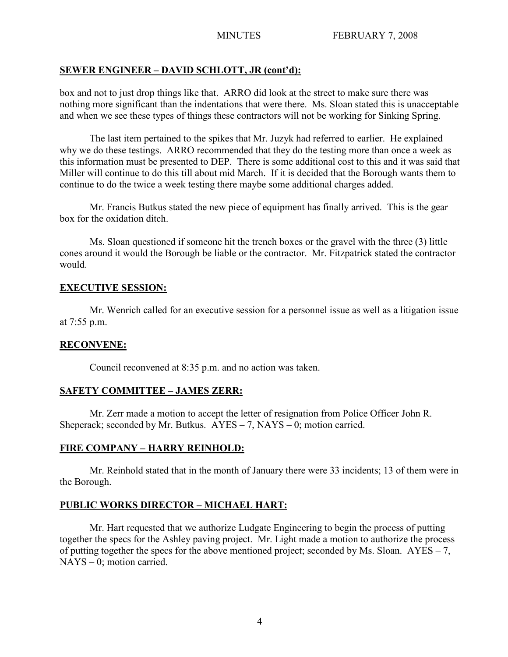# **SEWER ENGINEER – DAVID SCHLOTT, JR (cont'd):**

box and not to just drop things like that. ARRO did look at the street to make sure there was nothing more significant than the indentations that were there. Ms. Sloan stated this is unacceptable and when we see these types of things these contractors will not be working for Sinking Spring.

The last item pertained to the spikes that Mr. Juzyk had referred to earlier. He explained why we do these testings. ARRO recommended that they do the testing more than once a week as this information must be presented to DEP. There is some additional cost to this and it was said that Miller will continue to do this till about mid March. If it is decided that the Borough wants them to continue to do the twice a week testing there maybe some additional charges added.

Mr. Francis Butkus stated the new piece of equipment has finally arrived. This is the gear box for the oxidation ditch.

Ms. Sloan questioned if someone hit the trench boxes or the gravel with the three (3) little cones around it would the Borough be liable or the contractor. Mr. Fitzpatrick stated the contractor would.

# **EXECUTIVE SESSION:**

Mr. Wenrich called for an executive session for a personnel issue as well as a litigation issue at 7:55 p.m.

# **RECONVENE:**

Council reconvened at 8:35 p.m. and no action was taken.

# **SAFETY COMMITTEE – JAMES ZERR:**

Mr. Zerr made a motion to accept the letter of resignation from Police Officer John R. Sheperack; seconded by Mr. Butkus.  $AYES - 7$ ,  $NAYS - 0$ ; motion carried.

# **FIRE COMPANY – HARRY REINHOLD:**

Mr. Reinhold stated that in the month of January there were 33 incidents; 13 of them were in the Borough.

# **PUBLIC WORKS DIRECTOR – MICHAEL HART:**

Mr. Hart requested that we authorize Ludgate Engineering to begin the process of putting together the specs for the Ashley paving project. Mr. Light made a motion to authorize the process of putting together the specs for the above mentioned project; seconded by Ms. Sloan. AYES – 7, NAYS – 0; motion carried.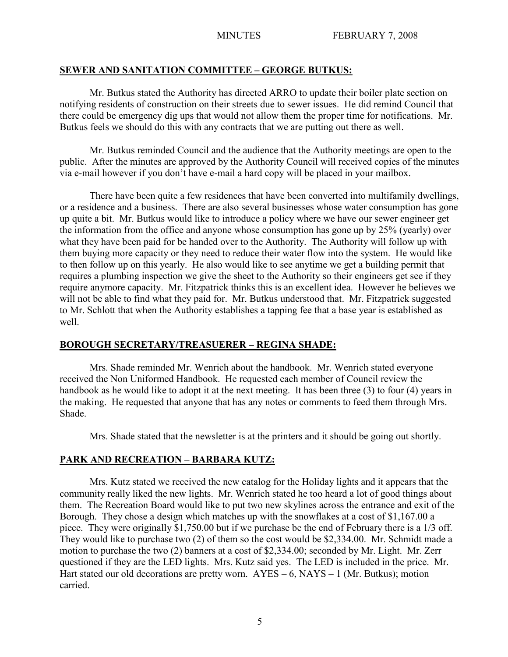# **SEWER AND SANITATION COMMITTEE – GEORGE BUTKUS:**

Mr. Butkus stated the Authority has directed ARRO to update their boiler plate section on notifying residents of construction on their streets due to sewer issues. He did remind Council that there could be emergency dig ups that would not allow them the proper time for notifications. Mr. Butkus feels we should do this with any contracts that we are putting out there as well.

Mr. Butkus reminded Council and the audience that the Authority meetings are open to the public. After the minutes are approved by the Authority Council will received copies of the minutes via e-mail however if you don't have e-mail a hard copy will be placed in your mailbox.

There have been quite a few residences that have been converted into multifamily dwellings, or a residence and a business. There are also several businesses whose water consumption has gone up quite a bit. Mr. Butkus would like to introduce a policy where we have our sewer engineer get the information from the office and anyone whose consumption has gone up by 25% (yearly) over what they have been paid for be handed over to the Authority. The Authority will follow up with them buying more capacity or they need to reduce their water flow into the system. He would like to then follow up on this yearly. He also would like to see anytime we get a building permit that requires a plumbing inspection we give the sheet to the Authority so their engineers get see if they require anymore capacity. Mr. Fitzpatrick thinks this is an excellent idea. However he believes we will not be able to find what they paid for. Mr. Butkus understood that. Mr. Fitzpatrick suggested to Mr. Schlott that when the Authority establishes a tapping fee that a base year is established as well.

# **BOROUGH SECRETARY/TREASUERER – REGINA SHADE:**

Mrs. Shade reminded Mr. Wenrich about the handbook. Mr. Wenrich stated everyone received the Non Uniformed Handbook. He requested each member of Council review the handbook as he would like to adopt it at the next meeting. It has been three (3) to four (4) years in the making. He requested that anyone that has any notes or comments to feed them through Mrs. Shade.

Mrs. Shade stated that the newsletter is at the printers and it should be going out shortly.

# **PARK AND RECREATION – BARBARA KUTZ:**

Mrs. Kutz stated we received the new catalog for the Holiday lights and it appears that the community really liked the new lights. Mr. Wenrich stated he too heard a lot of good things about them. The Recreation Board would like to put two new skylines across the entrance and exit of the Borough. They chose a design which matches up with the snowflakes at a cost of \$1,167.00 a piece. They were originally \$1,750.00 but if we purchase be the end of February there is a 1/3 off. They would like to purchase two (2) of them so the cost would be \$2,334.00. Mr. Schmidt made a motion to purchase the two (2) banners at a cost of \$2,334.00; seconded by Mr. Light. Mr. Zerr questioned if they are the LED lights. Mrs. Kutz said yes. The LED is included in the price. Mr. Hart stated our old decorations are pretty worn.  $AYES - 6$ ,  $NAYS - 1$  (Mr. Butkus); motion carried.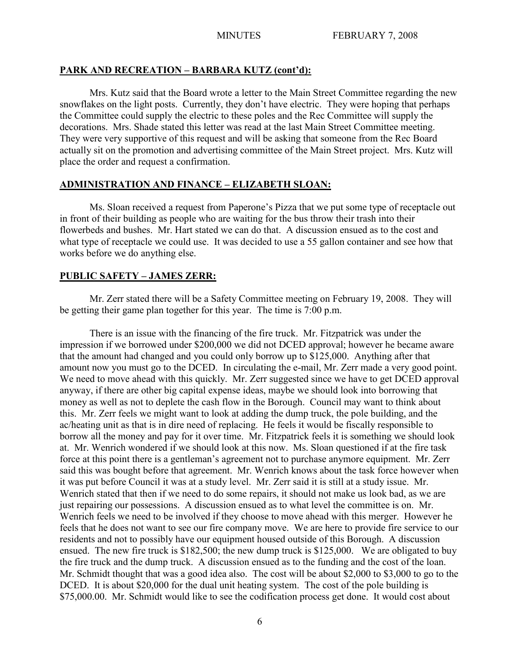#### **PARK AND RECREATION – BARBARA KUTZ (cont'd):**

Mrs. Kutz said that the Board wrote a letter to the Main Street Committee regarding the new snowflakes on the light posts. Currently, they don't have electric. They were hoping that perhaps the Committee could supply the electric to these poles and the Rec Committee will supply the decorations. Mrs. Shade stated this letter was read at the last Main Street Committee meeting. They were very supportive of this request and will be asking that someone from the Rec Board actually sit on the promotion and advertising committee of the Main Street project. Mrs. Kutz will place the order and request a confirmation.

#### **ADMINISTRATION AND FINANCE – ELIZABETH SLOAN:**

Ms. Sloan received a request from Paperone's Pizza that we put some type of receptacle out in front of their building as people who are waiting for the bus throw their trash into their flowerbeds and bushes. Mr. Hart stated we can do that. A discussion ensued as to the cost and what type of receptacle we could use. It was decided to use a 55 gallon container and see how that works before we do anything else.

#### **PUBLIC SAFETY – JAMES ZERR:**

Mr. Zerr stated there will be a Safety Committee meeting on February 19, 2008. They will be getting their game plan together for this year. The time is 7:00 p.m.

There is an issue with the financing of the fire truck. Mr. Fitzpatrick was under the impression if we borrowed under \$200,000 we did not DCED approval; however he became aware that the amount had changed and you could only borrow up to \$125,000. Anything after that amount now you must go to the DCED. In circulating the e-mail, Mr. Zerr made a very good point. We need to move ahead with this quickly. Mr. Zerr suggested since we have to get DCED approval anyway, if there are other big capital expense ideas, maybe we should look into borrowing that money as well as not to deplete the cash flow in the Borough. Council may want to think about this. Mr. Zerr feels we might want to look at adding the dump truck, the pole building, and the ac/heating unit as that is in dire need of replacing. He feels it would be fiscally responsible to borrow all the money and pay for it over time. Mr. Fitzpatrick feels it is something we should look at. Mr. Wenrich wondered if we should look at this now. Ms. Sloan questioned if at the fire task force at this point there is a gentleman's agreement not to purchase anymore equipment. Mr. Zerr said this was bought before that agreement. Mr. Wenrich knows about the task force however when it was put before Council it was at a study level. Mr. Zerr said it is still at a study issue. Mr. Wenrich stated that then if we need to do some repairs, it should not make us look bad, as we are just repairing our possessions. A discussion ensued as to what level the committee is on. Mr. Wenrich feels we need to be involved if they choose to move ahead with this merger. However he feels that he does not want to see our fire company move. We are here to provide fire service to our residents and not to possibly have our equipment housed outside of this Borough. A discussion ensued. The new fire truck is \$182,500; the new dump truck is \$125,000. We are obligated to buy the fire truck and the dump truck. A discussion ensued as to the funding and the cost of the loan. Mr. Schmidt thought that was a good idea also. The cost will be about \$2,000 to \$3,000 to go to the DCED. It is about \$20,000 for the dual unit heating system. The cost of the pole building is \$75,000.00. Mr. Schmidt would like to see the codification process get done. It would cost about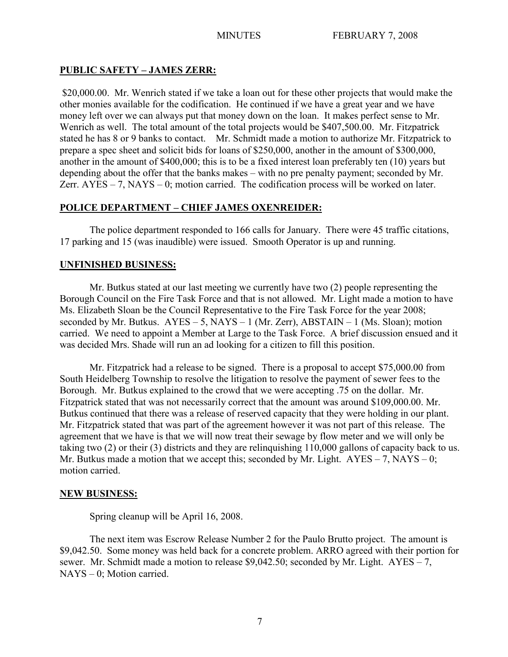# **PUBLIC SAFETY – JAMES ZERR:**

\$20,000.00. Mr. Wenrich stated if we take a loan out for these other projects that would make the other monies available for the codification. He continued if we have a great year and we have money left over we can always put that money down on the loan. It makes perfect sense to Mr. Wenrich as well. The total amount of the total projects would be \$407,500.00. Mr. Fitzpatrick stated he has 8 or 9 banks to contact. Mr. Schmidt made a motion to authorize Mr. Fitzpatrick to prepare a spec sheet and solicit bids for loans of \$250,000, another in the amount of \$300,000, another in the amount of \$400,000; this is to be a fixed interest loan preferably ten (10) years but depending about the offer that the banks makes – with no pre penalty payment; seconded by Mr. Zerr.  $AYES - 7$ ,  $NAYS - 0$ ; motion carried. The codification process will be worked on later.

# **POLICE DEPARTMENT – CHIEF JAMES OXENREIDER:**

The police department responded to 166 calls for January. There were 45 traffic citations, 17 parking and 15 (was inaudible) were issued. Smooth Operator is up and running.

### **UNFINISHED BUSINESS:**

Mr. Butkus stated at our last meeting we currently have two (2) people representing the Borough Council on the Fire Task Force and that is not allowed. Mr. Light made a motion to have Ms. Elizabeth Sloan be the Council Representative to the Fire Task Force for the year 2008; seconded by Mr. Butkus.  $AYES - 5$ ,  $NAYS - 1$  (Mr. Zerr),  $ABSTAIN - 1$  (Ms. Sloan); motion carried. We need to appoint a Member at Large to the Task Force. A brief discussion ensued and it was decided Mrs. Shade will run an ad looking for a citizen to fill this position.

Mr. Fitzpatrick had a release to be signed. There is a proposal to accept \$75,000.00 from South Heidelberg Township to resolve the litigation to resolve the payment of sewer fees to the Borough. Mr. Butkus explained to the crowd that we were accepting .75 on the dollar. Mr. Fitzpatrick stated that was not necessarily correct that the amount was around \$109,000.00. Mr. Butkus continued that there was a release of reserved capacity that they were holding in our plant. Mr. Fitzpatrick stated that was part of the agreement however it was not part of this release. The agreement that we have is that we will now treat their sewage by flow meter and we will only be taking two (2) or their (3) districts and they are relinquishing 110,000 gallons of capacity back to us. Mr. Butkus made a motion that we accept this; seconded by Mr. Light.  $AYES - 7$ ,  $NAYS - 0$ ; motion carried.

#### **NEW BUSINESS:**

Spring cleanup will be April 16, 2008.

The next item was Escrow Release Number 2 for the Paulo Brutto project. The amount is \$9,042.50. Some money was held back for a concrete problem. ARRO agreed with their portion for sewer. Mr. Schmidt made a motion to release \$9,042.50; seconded by Mr. Light.  $AYES - 7$ . NAYS – 0; Motion carried.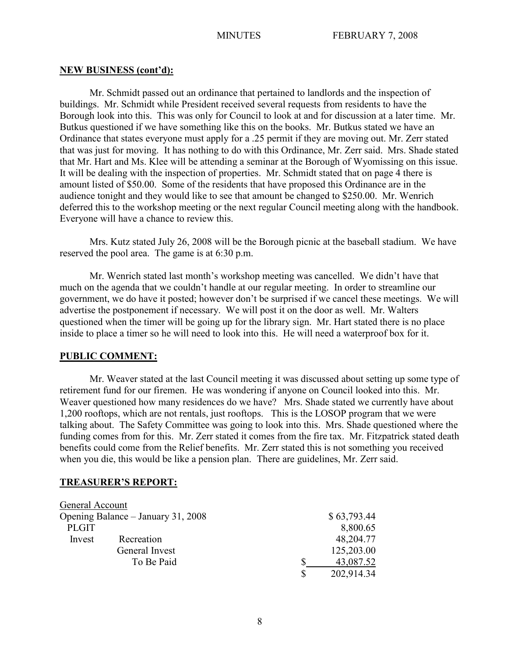#### **NEW BUSINESS (cont'd):**

Mr. Schmidt passed out an ordinance that pertained to landlords and the inspection of buildings. Mr. Schmidt while President received several requests from residents to have the Borough look into this. This was only for Council to look at and for discussion at a later time. Mr. Butkus questioned if we have something like this on the books. Mr. Butkus stated we have an Ordinance that states everyone must apply for a .25 permit if they are moving out. Mr. Zerr stated that was just for moving. It has nothing to do with this Ordinance, Mr. Zerr said. Mrs. Shade stated that Mr. Hart and Ms. Klee will be attending a seminar at the Borough of Wyomissing on this issue. It will be dealing with the inspection of properties. Mr. Schmidt stated that on page 4 there is amount listed of \$50.00. Some of the residents that have proposed this Ordinance are in the audience tonight and they would like to see that amount be changed to \$250.00. Mr. Wenrich deferred this to the workshop meeting or the next regular Council meeting along with the handbook. Everyone will have a chance to review this.

Mrs. Kutz stated July 26, 2008 will be the Borough picnic at the baseball stadium. We have reserved the pool area. The game is at 6:30 p.m.

Mr. Wenrich stated last month's workshop meeting was cancelled. We didn't have that much on the agenda that we couldn't handle at our regular meeting. In order to streamline our government, we do have it posted; however don't be surprised if we cancel these meetings. We will advertise the postponement if necessary. We will post it on the door as well. Mr. Walters questioned when the timer will be going up for the library sign. Mr. Hart stated there is no place inside to place a timer so he will need to look into this. He will need a waterproof box for it.

#### **PUBLIC COMMENT:**

Mr. Weaver stated at the last Council meeting it was discussed about setting up some type of retirement fund for our firemen. He was wondering if anyone on Council looked into this. Mr. Weaver questioned how many residences do we have? Mrs. Shade stated we currently have about 1,200 rooftops, which are not rentals, just rooftops. This is the LOSOP program that we were talking about. The Safety Committee was going to look into this. Mrs. Shade questioned where the funding comes from for this. Mr. Zerr stated it comes from the fire tax. Mr. Fitzpatrick stated death benefits could come from the Relief benefits. Mr. Zerr stated this is not something you received when you die, this would be like a pension plan. There are guidelines, Mr. Zerr said.

#### **TREASURER'S REPORT:**

| General Account                    |                |                  |
|------------------------------------|----------------|------------------|
| Opening Balance – January 31, 2008 |                | \$63,793.44      |
| <b>PLGIT</b>                       |                | 8,800.65         |
| Invest                             | Recreation     | 48,204.77        |
|                                    | General Invest | 125,203.00       |
|                                    | To Be Paid     | 43,087.52        |
|                                    |                | \$<br>202,914.34 |